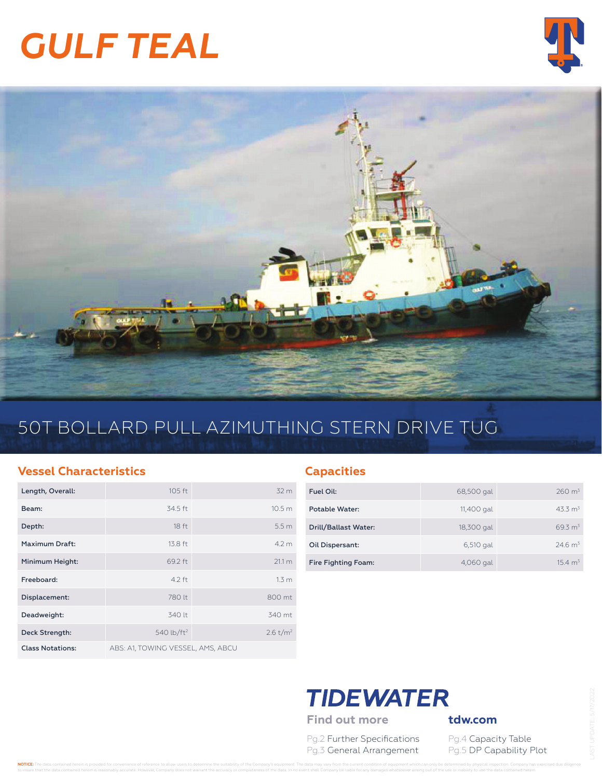# *GULF TEAL*





## 50T BOLLARD PULL AZIMUTHING STERN DRIVE TUG

#### **Vessel Characteristics**

| Length, Overall:        | $105$ ft                          | 32 <sub>m</sub>      |
|-------------------------|-----------------------------------|----------------------|
| Beam:                   | 34.5 ft                           | 10.5 <sub>m</sub>    |
| Depth:                  | 18 <sub>ft</sub>                  | 5.5 <sub>m</sub>     |
| Maximum Draft:          | 13.8 ft                           | 4.2 m                |
| Minimum Height:         | 69.2 ft                           | 21.1 m               |
| Freeboard:              | $4.2$ ft                          | 1.3 <sub>m</sub>     |
| Displacement:           | 780 lt                            | 800 mt               |
| Deadweight:             | 340 lt                            | 340 mt               |
| Deck Strength:          | 540 lb/ft <sup>2</sup>            | 2.6 t/m <sup>2</sup> |
| <b>Class Notations:</b> | ABS: A1, TOWING VESSEL, AMS, ABCU |                      |

#### **Capacities**

| Fuel Oil:            | 68,500 gal | $260 \text{ m}^3$   |
|----------------------|------------|---------------------|
| Potable Water:       | 11,400 gal | 43.3 m <sup>3</sup> |
| Drill/Ballast Water: | 18,300 gal | 69.3 m <sup>3</sup> |
| Oil Dispersant:      | 6,510 gal  | $24.6 \text{ m}^3$  |
| Fire Fighting Foam:  | 4,060 gal  | $154 \text{ m}^3$   |

## **TIDEWATER**

Find out more **tdw.com** 

Pg.2 Further Specifications Pg.4 Capacity Table Pg.3 General Arrangement Pg.5 DP Capability Plot

NOTICE: The data contained herein is provided for convenience of reference to allow users to determine the suitability of the Company's equipment. The data may vary from the current condition of equipment which can only be to insure that the data contained herein is reasonably accurate. However, Company does not warrant the accuracy or completeness of the data. In no event shall Company be liable for any damages whatsoever arising out of the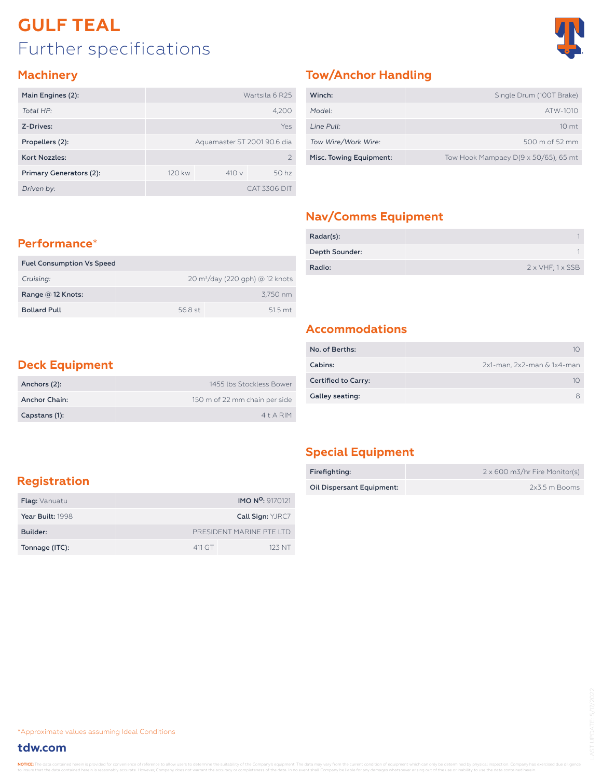## Further specifications **GULF TEAL**



#### **Machinery**

| Main Engines (2):       | Wartsila 6 R25              |       |                  |  |  |  |  |
|-------------------------|-----------------------------|-------|------------------|--|--|--|--|
| Total HP:               |                             | 4,200 |                  |  |  |  |  |
| Z-Drives:               | Yes                         |       |                  |  |  |  |  |
| Propellers (2):         | Aguamaster ST 2001 90.6 dia |       |                  |  |  |  |  |
| <b>Kort Nozzles:</b>    | $\mathcal{P}$               |       |                  |  |  |  |  |
| Primary Generators (2): | 120 kw                      | 410v  | 50 <sub>hz</sub> |  |  |  |  |
| Driven by:              |                             |       | CAT 3306 DIT     |  |  |  |  |

#### **Tow/Anchor Handling**

| Winch:                  | Single Drum (100T Brake)                     |
|-------------------------|----------------------------------------------|
| Model:                  | ATW-1010                                     |
| Line Pull:              | 10 <sub>mt</sub>                             |
| Tow Wire/Work Wire:     | 500 m of 52 mm                               |
| Misc. Towing Equipment: | Tow Hook Mampaey $D(9 \times 50/65)$ , 65 mt |

#### **Nav/Comms Equipment**

| Radar(s):      |                                 |
|----------------|---------------------------------|
| Depth Sounder: |                                 |
| Radio:         | $2 \times VHF$ ; $1 \times SSB$ |

#### **Performance**\*

| <b>Fuel Consumption Vs Speed</b> |         |                                            |
|----------------------------------|---------|--------------------------------------------|
| Cruising:                        |         | $20 \text{ m}^3$ /day (220 gph) @ 12 knots |
| Range $@12$ Knots:               |         | 3.750 nm                                   |
| <b>Bollard Pull</b>              | 56.8 st | $515 \text{ mt}$                           |

#### **Accommodations**

| No. of Berths:             |                            |
|----------------------------|----------------------------|
| Cabins:                    | 2x1-man, 2x2-man & 1x4-man |
| <b>Certified to Carry:</b> |                            |
| Galley seating:            | я                          |

#### **Deck Equipment**

| Anchors (2):  | 1455 lbs Stockless Bower      |
|---------------|-------------------------------|
| Anchor Chain: | 150 m of 22 mm chain per side |
| Capstans (1): | $4+A$ RIM                     |

#### **Special Equipment**

| Firefighting:             | 2 x 600 m3/hr Fire Monitor(s) |
|---------------------------|-------------------------------|
| Oil Dispersant Equipment: | 2x3.5 m Booms                 |

#### **Registration**

| <b>Flag:</b> Vanuatu |                          | <b>IMO N<sup>o</sup>:</b> 9170121 |  |  |  |  |
|----------------------|--------------------------|-----------------------------------|--|--|--|--|
| Year Built: 1998     |                          | <b>Call Sign: YJRC7</b>           |  |  |  |  |
| Builder:             | PRESIDENT MARINE PTE ITD |                                   |  |  |  |  |
| Tonnage (ITC):       | 411 GT                   | 123 NT                            |  |  |  |  |

\*Approximate values assuming Ideal Conditions

#### **tdw.com**

NOTICE: The data contained herein is provided for convenience of reference to allow users to determine the suitability of the Company's equipment. The data may vary from the current condition of equipment which can only be to insure that the data contained herein is reasonably accurate. However, Company does not warrant the accuracy or completeness of the data. In no event shall Company be liable for any damages whatsoever arising out of the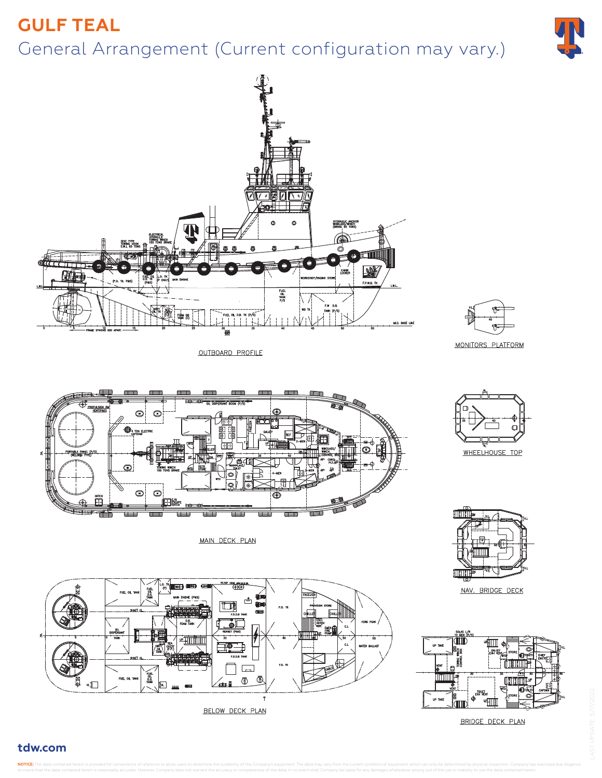## General Arrangement (Current configuration may vary.) **GULF TEAL**





OUTBOARD PROFILE



**MONITORS PLATFORM** 





NAV. BRIDGE DECK



BRIDGE DECK PLAN



MAIN DECK PLAN



#### **tdw.com**

NOTICE: The data contained herein is provided for convenience of reference to allow users to determine the suitability of the Company's equipment. The data may vary from the current condition of equipment which can only be to insure that the data contained herein is reasonably accurate. However, Company does not warrant the accuracy or completeness of the data. In no event shall Company be liable for any damages whatsoever arising out of the